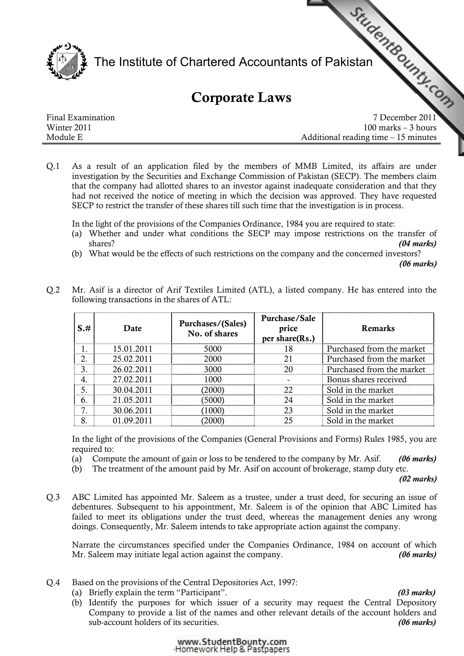

## Corporate Laws

|                   | The Institute of Chartered Accountants of Pakistan |
|-------------------|----------------------------------------------------|
|                   | <b>Corporate Laws</b>                              |
| Final Examination | 7 December 2011                                    |
| Winter 2011       | $100$ marks $-3$ hours                             |
| Module E          | Additional reading time $-15$ minutes              |

Q.1 As a result of an application filed by the members of MMB Limited, its affairs are under investigation by the Securities and Exchange Commission of Pakistan (SECP). The members claim that the company had allotted shares to an investor against inadequate consideration and that they had not received the notice of meeting in which the decision was approved. They have requested SECP to restrict the transfer of these shares till such time that the investigation is in process.

In the light of the provisions of the Companies Ordinance, 1984 you are required to state:

- (a) Whether and under what conditions the SECP may impose restrictions on the transfer of shares? (04 marks)
- (b) What would be the effects of such restrictions on the company and the concerned investors?

(06 marks)

| S.# | Date       | Purchases/(Sales)<br>No. of shares | Purchase/Sale<br>price<br>per share(Rs.) | <b>Remarks</b>            |
|-----|------------|------------------------------------|------------------------------------------|---------------------------|
|     | 15.01.2011 | 5000                               | 18                                       | Purchased from the market |
|     | 25.02.2011 | 2000                               |                                          | Purchased from the market |
|     | 26.02.2011 | 3000                               |                                          | Purchased from the market |
|     | 27.02.2011 | 1000                               |                                          | Bonus shares received     |
|     | 30.04.2011 | 2000)                              | 22                                       | Sold in the market        |
| 6   | 21.05.2011 | (5000)                             | 24                                       | Sold in the market        |
|     | 30.06.2011 | 1000)                              | 23                                       | Sold in the market        |
| 8   | 01.09.2011 |                                    | 25                                       | Sold in the market        |

Q.2 Mr. Asif is a director of Arif Textiles Limited (ATL), a listed company. He has entered into the following transactions in the shares of ATL:

In the light of the provisions of the Companies (General Provisions and Forms) Rules 1985, you are required to:

- (a) Compute the amount of gain or loss to be tendered to the company by Mr. Asif.  $(06 marks)$
- (b) The treatment of the amount paid by Mr. Asif on account of brokerage, stamp duty etc.

(02 marks)

Q.3 ABC Limited has appointed Mr. Saleem as a trustee, under a trust deed, for securing an issue of debentures. Subsequent to his appointment, Mr. Saleem is of the opinion that ABC Limited has failed to meet its obligations under the trust deed, whereas the management denies any wrong doings. Consequently, Mr. Saleem intends to take appropriate action against the company.

Narrate the circumstances specified under the Companies Ordinance, 1984 on account of which Mr. Saleem may initiate legal action against the company. (06 marks)

- Q.4 Based on the provisions of the Central Depositories Act, 1997:
	- (a) Briefly explain the term "Participant". (03 marks)
	- (b) Identify the purposes for which issuer of a security may request the Central Depository Company to provide a list of the names and other relevant details of the account holders and sub-account holders of its securities. (06 marks)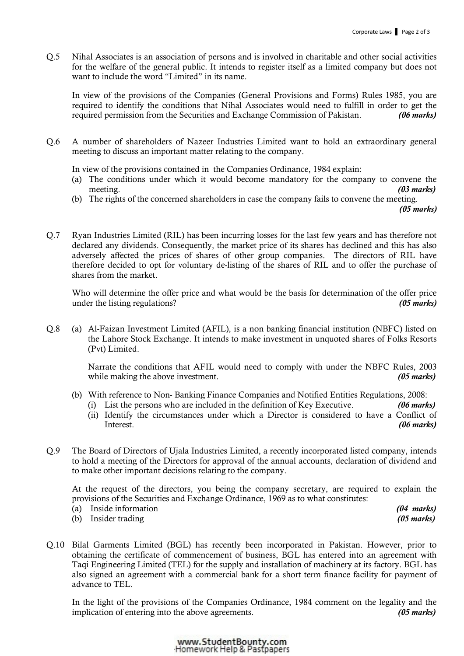Q.5 Nihal Associates is an association of persons and is involved in charitable and other social activities for the welfare of the general public. It intends to register itself as a limited company but does not want to include the word "Limited" in its name.

In view of the provisions of the Companies (General Provisions and Forms) Rules 1985, you are required to identify the conditions that Nihal Associates would need to fulfill in order to get the required permission from the Securities and Exchange Commission of Pakistan. (06 marks)

Q.6 A number of shareholders of Nazeer Industries Limited want to hold an extraordinary general meeting to discuss an important matter relating to the company.

In view of the provisions contained in the Companies Ordinance, 1984 explain:

- (a) The conditions under which it would become mandatory for the company to convene the meeting. (03 marks)
- (b) The rights of the concerned shareholders in case the company fails to convene the meeting.

(05 marks)

Q.7 Ryan Industries Limited (RIL) has been incurring losses for the last few years and has therefore not declared any dividends. Consequently, the market price of its shares has declined and this has also adversely affected the prices of shares of other group companies. The directors of RIL have therefore decided to opt for voluntary de-listing of the shares of RIL and to offer the purchase of shares from the market.

Who will determine the offer price and what would be the basis for determination of the offer price under the listing regulations?  $(05 \text{ marks})$ 

Q.8 (a) Al-Faizan Investment Limited (AFIL), is a non banking financial institution (NBFC) listed on the Lahore Stock Exchange. It intends to make investment in unquoted shares of Folks Resorts (Pvt) Limited.

> Narrate the conditions that AFIL would need to comply with under the NBFC Rules, 2003 while making the above investment. (05 marks) (05 marks)

- (b) With reference to Non- Banking Finance Companies and Notified Entities Regulations, 2008:
	- (i) List the persons who are included in the definition of Key Executive.  $(06 \text{ marks})$ (ii) Identify the circumstances under which a Director is considered to have a Conflict of Interest. (06 marks)
- Q.9 The Board of Directors of Ujala Industries Limited, a recently incorporated listed company, intends to hold a meeting of the Directors for approval of the annual accounts, declaration of dividend and to make other important decisions relating to the company.

At the request of the directors, you being the company secretary, are required to explain the provisions of the Securities and Exchange Ordinance, 1969 as to what constitutes:

- (a) Inside information  $(04 \text{ marks})$
- (b) Insider trading (05 marks) (05 marks)
- Q.10 Bilal Garments Limited (BGL) has recently been incorporated in Pakistan. However, prior to obtaining the certificate of commencement of business, BGL has entered into an agreement with Taqi Engineering Limited (TEL) for the supply and installation of machinery at its factory. BGL has also signed an agreement with a commercial bank for a short term finance facility for payment of advance to TEL.

In the light of the provisions of the Companies Ordinance, 1984 comment on the legality and the implication of entering into the above agreements. (05 marks)

> www.StudentBounty.com Homework Help & Pastpapers